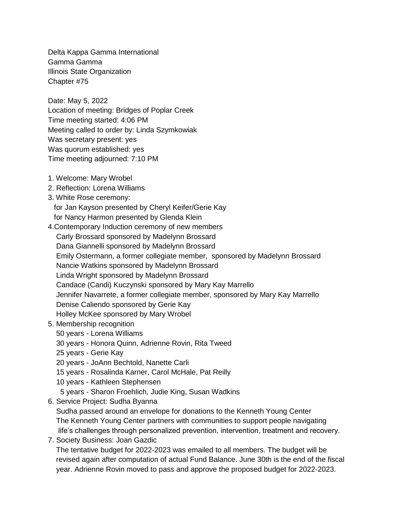Delta Kappa Gamma International Gamma Gamma Illinois State Organization Chapter #75

Date: May 5, 2022 Location of meeting: Bridges of Poplar Creek Time meeting started: 4:06 PM Meeting called to order by: Linda Szymkowiak Was secretary present: yes Was quorum established: yes Time meeting adjourned: 7:10 PM

- 1. Welcome: Mary Wrobel
- 2. Reflection: Lorena Williams
- 3. White Rose ceremony:
	- for Jan Kayson presented by Cheryl Keifer/Gerie Kay for Nancy Harmon presented by Glenda Klein
- 4.Contemporary Induction ceremony of new members Carly Brossard sponsored by Madelynn Brossard Dana Giannelli sponsored by Madelynn Brossard Emily Ostermann, a former collegiate member, sponsored by Madelynn Brossard Nancie Watkins sponsored by Madelynn Brossard Linda Wright sponsored by Madelynn Brossard Candace (Candi) Kuczynski sponsored by Mary Kay Marrello Jennifer Navarrete, a former collegiate member, sponsored by Mary Kay Marrello Denise Caliendo sponsored by Gerie Kay Holley McKee sponsored by Mary Wrobel
- 5. Membership recognition
	- 50 years Lorena Williams
	- 30 years Honora Quinn, Adrienne Rovin, Rita Tweed
	- 25 years Gerie Kay
	- 20 years JoAnn Bechtold, Nanette Carli
	- 15 years Rosalinda Karner, Carol McHale, Pat Reilly
	- 10 years Kathleen Stephensen
	- 5 years Sharon Froehlich, Judie King, Susan Wadkins
- 6. Service Project: Sudha Byanna

 Sudha passed around an envelope for donations to the Kenneth Young Center The Kenneth Young Center partners with communities to support people navigating life's challenges through personalized prevention, intervention, treatment and recovery.

7. Society Business: Joan Gazdic

 The tentative budget for 2022-2023 was emailed to all members. The budget will be revised again after computation of actual Fund Balance. June 30th is the end of the fiscal year. Adrienne Rovin moved to pass and approve the proposed budget for 2022-2023.